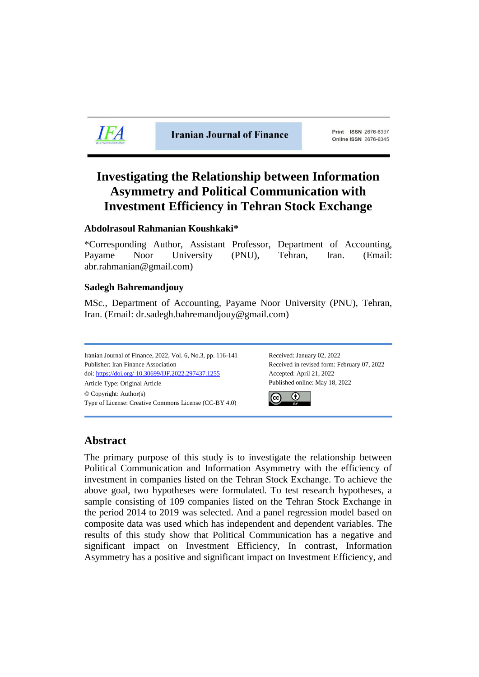

**Iranian Journal of Finance** 

Print ISSN 2676-6337 **Online ISSN 2676-6345** 

# **Investigating the Relationship between Information Asymmetry and Political Communication with Investment Efficiency in Tehran Stock Exchange**

# **Abdolrasoul Rahmanian Koushkaki\***

\*Corresponding Author, Assistant Professor, Department of Accounting, Payame Noor University (PNU), Tehran, Iran. (Email: abr.rahmanian@gmail.com)

# **Sadegh Bahremandjouy**

MSc., Department of Accounting, Payame Noor University (PNU), Tehran, Iran. (Email: dr.sadegh.bahremandjouy@gmail.com)

Iranian Journal of Finance, 2022, Vol. 6, No.3, pp. 116-141 Received: January 02, 2022 Publisher: Iran Finance Association Received in revised form: February 07, 2022 doi: https://doi.org/ [10.30699/IJF.2022.297437.1255](https://doi.org/10.30699/IJF.2022.297437.1255) Accepted: April 21, 2022 Article Type: Original Article Published online: May 18, 2022 © Copyright: Author(s) Type of License: Creative Commons License (CC-BY 4.0)



# **Abstract**

The primary purpose of this study is to investigate the relationship between Political Communication and Information Asymmetry with the efficiency of investment in companies listed on the Tehran Stock Exchange. To achieve the above goal, two hypotheses were formulated. To test research hypotheses, a sample consisting of 109 companies listed on the Tehran Stock Exchange in the period 2014 to 2019 was selected. And a panel regression model based on composite data was used which has independent and dependent variables. The results of this study show that Political Communication has a negative and significant impact on Investment Efficiency, In contrast, Information Asymmetry has a positive and significant impact on Investment Efficiency, and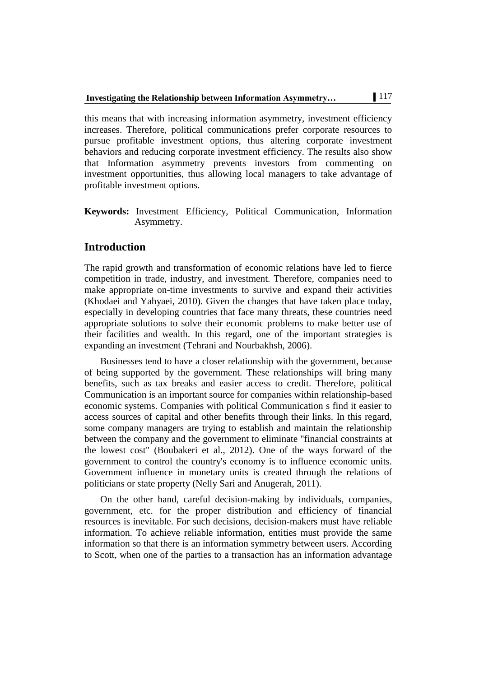this means that with increasing information asymmetry, investment efficiency increases. Therefore, political communications prefer corporate resources to pursue profitable investment options, thus altering corporate investment behaviors and reducing corporate investment efficiency. The results also show that Information asymmetry prevents investors from commenting on investment opportunities, thus allowing local managers to take advantage of profitable investment options.

**Keywords:** Investment Efficiency, Political Communication, Information Asymmetry.

# **Introduction**

The rapid growth and transformation of economic relations have led to fierce competition in trade, industry, and investment. Therefore, companies need to make appropriate on-time investments to survive and expand their activities (Khodaei and Yahyaei, 2010). Given the changes that have taken place today, especially in developing countries that face many threats, these countries need appropriate solutions to solve their economic problems to make better use of their facilities and wealth. In this regard, one of the important strategies is expanding an investment (Tehrani and Nourbakhsh, 2006).

Businesses tend to have a closer relationship with the government, because of being supported by the government. These relationships will bring many benefits, such as tax breaks and easier access to credit. Therefore, political Communication is an important source for companies within relationship-based economic systems. Companies with political Communication s find it easier to access sources of capital and other benefits through their links. In this regard, some company managers are trying to establish and maintain the relationship between the company and the government to eliminate "financial constraints at the lowest cost" (Boubakeri et al., 2012). One of the ways forward of the government to control the country's economy is to influence economic units. Government influence in monetary units is created through the relations of politicians or state property (Nelly Sari and Anugerah, 2011).

On the other hand, careful decision-making by individuals, companies, government, etc. for the proper distribution and efficiency of financial resources is inevitable. For such decisions, decision-makers must have reliable information. To achieve reliable information, entities must provide the same information so that there is an information symmetry between users. According to Scott, when one of the parties to a transaction has an information advantage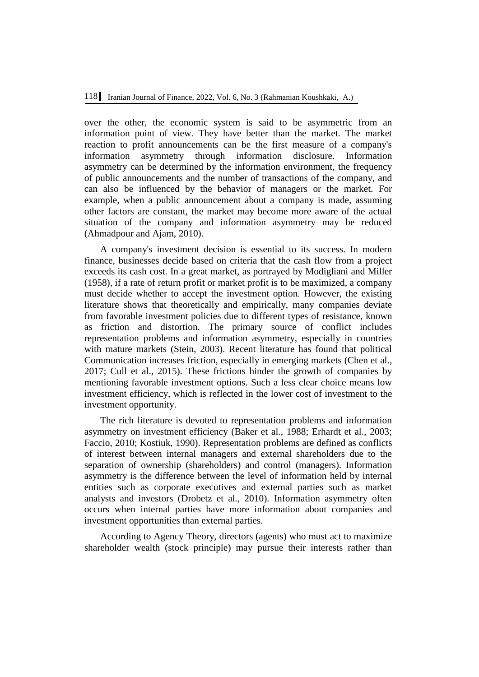over the other, the economic system is said to be asymmetric from an information point of view. They have better than the market. The market reaction to profit announcements can be the first measure of a company's information asymmetry through information disclosure. Information asymmetry can be determined by the information environment, the frequency of public announcements and the number of transactions of the company, and can also be influenced by the behavior of managers or the market. For example, when a public announcement about a company is made, assuming other factors are constant, the market may become more aware of the actual situation of the company and information asymmetry may be reduced (Ahmadpour and Ajam, 2010).

A company's investment decision is essential to its success. In modern finance, businesses decide based on criteria that the cash flow from a project exceeds its cash cost. In a great market, as portrayed by Modigliani and Miller (1958), if a rate of return profit or market profit is to be maximized, a company must decide whether to accept the investment option. However, the existing literature shows that theoretically and empirically, many companies deviate from favorable investment policies due to different types of resistance, known as friction and distortion. The primary source of conflict includes representation problems and information asymmetry, especially in countries with mature markets (Stein, 2003). Recent literature has found that political Communication increases friction, especially in emerging markets (Chen et al., 2017; Cull et al., 2015). These frictions hinder the growth of companies by mentioning favorable investment options. Such a less clear choice means low investment efficiency, which is reflected in the lower cost of investment to the investment opportunity.

The rich literature is devoted to representation problems and information asymmetry on investment efficiency (Baker et al., 1988; Erhardt et al., 2003; Faccio, 2010; Kostiuk, 1990). Representation problems are defined as conflicts of interest between internal managers and external shareholders due to the separation of ownership (shareholders) and control (managers). Information asymmetry is the difference between the level of information held by internal entities such as corporate executives and external parties such as market analysts and investors (Drobetz et al., 2010). Information asymmetry often occurs when internal parties have more information about companies and investment opportunities than external parties.

According to Agency Theory, directors (agents) who must act to maximize shareholder wealth (stock principle) may pursue their interests rather than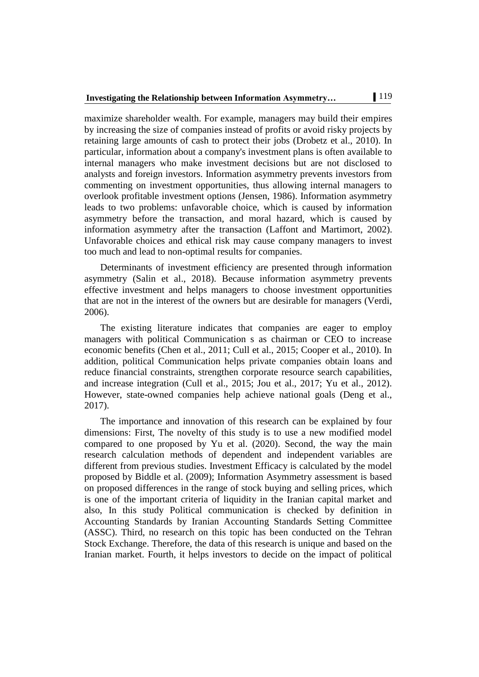maximize shareholder wealth. For example, managers may build their empires by increasing the size of companies instead of profits or avoid risky projects by retaining large amounts of cash to protect their jobs (Drobetz et al., 2010). In particular, information about a company's investment plans is often available to internal managers who make investment decisions but are not disclosed to analysts and foreign investors. Information asymmetry prevents investors from commenting on investment opportunities, thus allowing internal managers to overlook profitable investment options (Jensen, 1986). Information asymmetry leads to two problems: unfavorable choice, which is caused by information asymmetry before the transaction, and moral hazard, which is caused by information asymmetry after the transaction (Laffont and Martimort, 2002). Unfavorable choices and ethical risk may cause company managers to invest too much and lead to non-optimal results for companies.

Determinants of investment efficiency are presented through information asymmetry (Salin et al., 2018). Because information asymmetry prevents effective investment and helps managers to choose investment opportunities that are not in the interest of the owners but are desirable for managers (Verdi, 2006).

The existing literature indicates that companies are eager to employ managers with political Communication s as chairman or CEO to increase economic benefits (Chen et al., 2011; Cull et al., 2015; Cooper et al., 2010). In addition, political Communication helps private companies obtain loans and reduce financial constraints, strengthen corporate resource search capabilities, and increase integration (Cull et al., 2015; Jou et al., 2017; Yu et al., 2012). However, state-owned companies help achieve national goals (Deng et al., 2017).

The importance and innovation of this research can be explained by four dimensions: First, The novelty of this study is to use a new modified model compared to one proposed by Yu et al. (2020). Second, the way the main research calculation methods of dependent and independent variables are different from previous studies. Investment Efficacy is calculated by the model proposed by Biddle et al. (2009); Information Asymmetry assessment is based on proposed differences in the range of stock buying and selling prices, which is one of the important criteria of liquidity in the Iranian capital market and also, In this study Political communication is checked by definition in Accounting Standards by Iranian Accounting Standards Setting Committee (ASSC). Third, no research on this topic has been conducted on the Tehran Stock Exchange. Therefore, the data of this research is unique and based on the Iranian market. Fourth, it helps investors to decide on the impact of political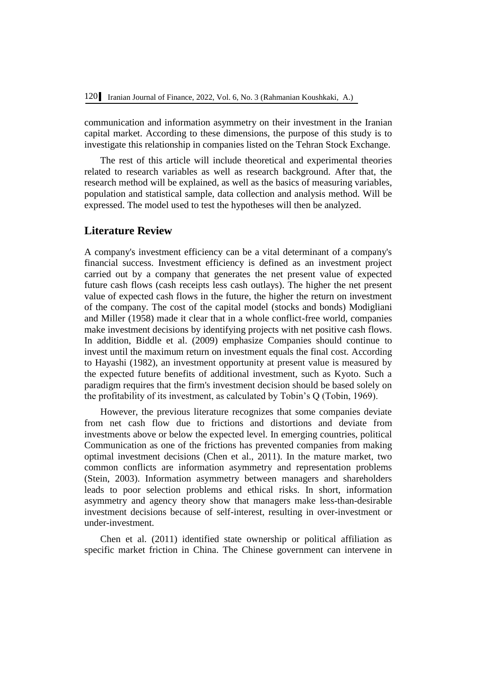communication and information asymmetry on their investment in the Iranian capital market. According to these dimensions, the purpose of this study is to investigate this relationship in companies listed on the Tehran Stock Exchange.

The rest of this article will include theoretical and experimental theories related to research variables as well as research background. After that, the research method will be explained, as well as the basics of measuring variables, population and statistical sample, data collection and analysis method. Will be expressed. The model used to test the hypotheses will then be analyzed.

# **Literature Review**

A company's investment efficiency can be a vital determinant of a company's financial success. Investment efficiency is defined as an investment project carried out by a company that generates the net present value of expected future cash flows (cash receipts less cash outlays). The higher the net present value of expected cash flows in the future, the higher the return on investment of the company. The cost of the capital model (stocks and bonds) Modigliani and Miller (1958) made it clear that in a whole conflict-free world, companies make investment decisions by identifying projects with net positive cash flows. In addition, Biddle et al. (2009) emphasize Companies should continue to invest until the maximum return on investment equals the final cost. According to Hayashi (1982), an investment opportunity at present value is measured by the expected future benefits of additional investment, such as Kyoto. Such a paradigm requires that the firm's investment decision should be based solely on the profitability of its investment, as calculated by Tobin's Q (Tobin, 1969).

However, the previous literature recognizes that some companies deviate from net cash flow due to frictions and distortions and deviate from investments above or below the expected level. In emerging countries, political Communication as one of the frictions has prevented companies from making optimal investment decisions (Chen et al., 2011). In the mature market, two common conflicts are information asymmetry and representation problems (Stein, 2003). Information asymmetry between managers and shareholders leads to poor selection problems and ethical risks. In short, information asymmetry and agency theory show that managers make less-than-desirable investment decisions because of self-interest, resulting in over-investment or under-investment.

Chen et al. (2011) identified state ownership or political affiliation as specific market friction in China. The Chinese government can intervene in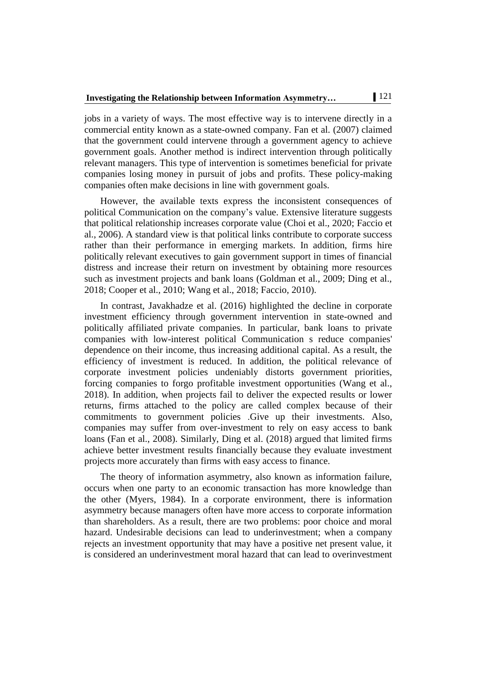jobs in a variety of ways. The most effective way is to intervene directly in a commercial entity known as a state-owned company. Fan et al. (2007) claimed that the government could intervene through a government agency to achieve government goals. Another method is indirect intervention through politically relevant managers. This type of intervention is sometimes beneficial for private companies losing money in pursuit of jobs and profits. These policy-making companies often make decisions in line with government goals.

However, the available texts express the inconsistent consequences of political Communication on the company's value. Extensive literature suggests that political relationship increases corporate value (Choi et al., 2020; Faccio et al., 2006). A standard view is that political links contribute to corporate success rather than their performance in emerging markets. In addition, firms hire politically relevant executives to gain government support in times of financial distress and increase their return on investment by obtaining more resources such as investment projects and bank loans (Goldman et al., 2009; Ding et al., 2018; Cooper et al., 2010; Wang et al., 2018; Faccio, 2010).

In contrast, Javakhadze et al. (2016) highlighted the decline in corporate investment efficiency through government intervention in state-owned and politically affiliated private companies. In particular, bank loans to private companies with low-interest political Communication s reduce companies' dependence on their income, thus increasing additional capital. As a result, the efficiency of investment is reduced. In addition, the political relevance of corporate investment policies undeniably distorts government priorities, forcing companies to forgo profitable investment opportunities (Wang et al., 2018). In addition, when projects fail to deliver the expected results or lower returns, firms attached to the policy are called complex because of their commitments to government policies .Give up their investments. Also, companies may suffer from over-investment to rely on easy access to bank loans (Fan et al., 2008). Similarly, Ding et al. (2018) argued that limited firms achieve better investment results financially because they evaluate investment projects more accurately than firms with easy access to finance.

The theory of information asymmetry, also known as information failure, occurs when one party to an economic transaction has more knowledge than the other (Myers, 1984). In a corporate environment, there is information asymmetry because managers often have more access to corporate information than shareholders. As a result, there are two problems: poor choice and moral hazard. Undesirable decisions can lead to underinvestment; when a company rejects an investment opportunity that may have a positive net present value, it is considered an underinvestment moral hazard that can lead to overinvestment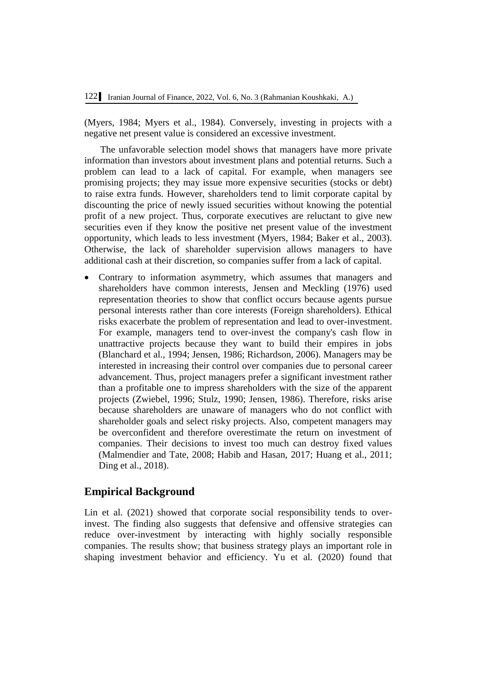(Myers, 1984; Myers et al., 1984). Conversely, investing in projects with a negative net present value is considered an excessive investment.

The unfavorable selection model shows that managers have more private information than investors about investment plans and potential returns. Such a problem can lead to a lack of capital. For example, when managers see promising projects; they may issue more expensive securities (stocks or debt) to raise extra funds. However, shareholders tend to limit corporate capital by discounting the price of newly issued securities without knowing the potential profit of a new project. Thus, corporate executives are reluctant to give new securities even if they know the positive net present value of the investment opportunity, which leads to less investment (Myers, 1984; Baker et al., 2003). Otherwise, the lack of shareholder supervision allows managers to have additional cash at their discretion, so companies suffer from a lack of capital.

 Contrary to information asymmetry, which assumes that managers and shareholders have common interests, Jensen and Meckling (1976) used representation theories to show that conflict occurs because agents pursue personal interests rather than core interests (Foreign shareholders). Ethical risks exacerbate the problem of representation and lead to over-investment. For example, managers tend to over-invest the company's cash flow in unattractive projects because they want to build their empires in jobs (Blanchard et al., 1994; Jensen, 1986; Richardson, 2006). Managers may be interested in increasing their control over companies due to personal career advancement. Thus, project managers prefer a significant investment rather than a profitable one to impress shareholders with the size of the apparent projects (Zwiebel, 1996; Stulz, 1990; Jensen, 1986). Therefore, risks arise because shareholders are unaware of managers who do not conflict with shareholder goals and select risky projects. Also, competent managers may be overconfident and therefore overestimate the return on investment of companies. Their decisions to invest too much can destroy fixed values (Malmendier and Tate, 2008; Habib and Hasan, 2017; Huang et al., 2011; Ding et al., 2018).

# **Empirical Background**

Lin et al. (2021) showed that corporate social responsibility tends to overinvest. The finding also suggests that defensive and offensive strategies can reduce over-investment by interacting with highly socially responsible companies. The results show; that business strategy plays an important role in shaping investment behavior and efficiency. Yu et al. (2020) found that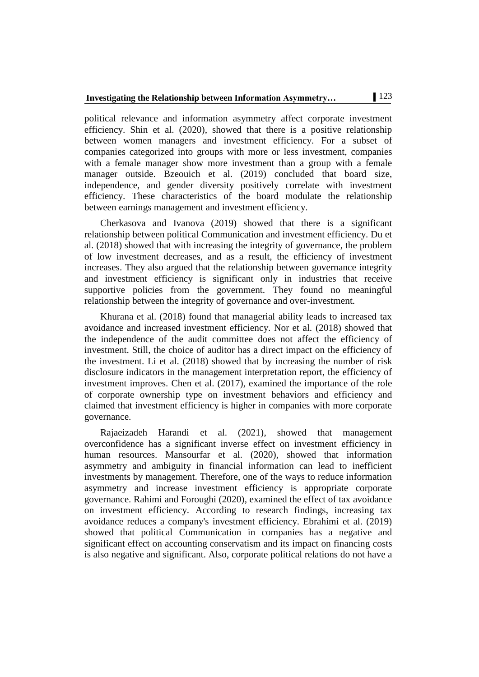political relevance and information asymmetry affect corporate investment efficiency. Shin et al. (2020), showed that there is a positive relationship between women managers and investment efficiency. For a subset of companies categorized into groups with more or less investment, companies with a female manager show more investment than a group with a female manager outside. Bzeouich et al. (2019) concluded that board size, independence, and gender diversity positively correlate with investment efficiency. These characteristics of the board modulate the relationship between earnings management and investment efficiency.

Cherkasova and Ivanova (2019) showed that there is a significant relationship between political Communication and investment efficiency. Du et al. (2018) showed that with increasing the integrity of governance, the problem of low investment decreases, and as a result, the efficiency of investment increases. They also argued that the relationship between governance integrity and investment efficiency is significant only in industries that receive supportive policies from the government. They found no meaningful relationship between the integrity of governance and over-investment.

Khurana et al. (2018) found that managerial ability leads to increased tax avoidance and increased investment efficiency. Nor et al. (2018) showed that the independence of the audit committee does not affect the efficiency of investment. Still, the choice of auditor has a direct impact on the efficiency of the investment. Li et al. (2018) showed that by increasing the number of risk disclosure indicators in the management interpretation report, the efficiency of investment improves. Chen et al. (2017), examined the importance of the role of corporate ownership type on investment behaviors and efficiency and claimed that investment efficiency is higher in companies with more corporate governance.

Rajaeizadeh Harandi et al. (2021), showed that management overconfidence has a significant inverse effect on investment efficiency in human resources. Mansourfar et al. (2020), showed that information asymmetry and ambiguity in financial information can lead to inefficient investments by management. Therefore, one of the ways to reduce information asymmetry and increase investment efficiency is appropriate corporate governance. Rahimi and Foroughi (2020), examined the effect of tax avoidance on investment efficiency. According to research findings, increasing tax avoidance reduces a company's investment efficiency. Ebrahimi et al. (2019) showed that political Communication in companies has a negative and significant effect on accounting conservatism and its impact on financing costs is also negative and significant. Also, corporate political relations do not have a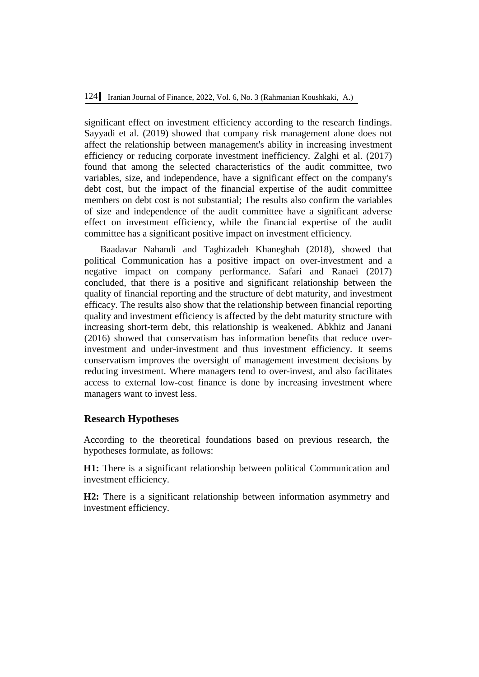significant effect on investment efficiency according to the research findings. Sayyadi et al. (2019) showed that company risk management alone does not affect the relationship between management's ability in increasing investment efficiency or reducing corporate investment inefficiency. Zalghi et al. (2017) found that among the selected characteristics of the audit committee, two variables, size, and independence, have a significant effect on the company's debt cost, but the impact of the financial expertise of the audit committee members on debt cost is not substantial; The results also confirm the variables of size and independence of the audit committee have a significant adverse effect on investment efficiency, while the financial expertise of the audit committee has a significant positive impact on investment efficiency.

Baadavar Nahandi and Taghizadeh Khaneghah (2018), showed that political Communication has a positive impact on over-investment and a negative impact on company performance. Safari and Ranaei (2017) concluded, that there is a positive and significant relationship between the quality of financial reporting and the structure of debt maturity, and investment efficacy. The results also show that the relationship between financial reporting quality and investment efficiency is affected by the debt maturity structure with increasing short-term debt, this relationship is weakened. Abkhiz and Janani (2016) showed that conservatism has information benefits that reduce overinvestment and under-investment and thus investment efficiency. It seems conservatism improves the oversight of management investment decisions by reducing investment. Where managers tend to over-invest, and also facilitates access to external low-cost finance is done by increasing investment where managers want to invest less.

#### **Research Hypotheses**

According to the theoretical foundations based on previous research, the hypotheses formulate, as follows:

**H1:** There is a significant relationship between political Communication and investment efficiency.

**H2:** There is a significant relationship between information asymmetry and investment efficiency.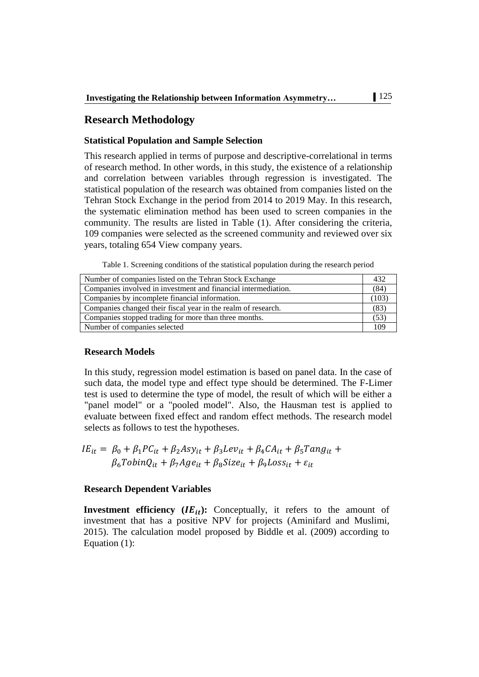# **Research Methodology**

#### **Statistical Population and Sample Selection**

This research applied in terms of purpose and descriptive-correlational in terms of research method. In other words, in this study, the existence of a relationship and correlation between variables through regression is investigated. The statistical population of the research was obtained from companies listed on the Tehran Stock Exchange in the period from 2014 to 2019 May. In this research, the systematic elimination method has been used to screen companies in the community. The results are listed in Table (1). After considering the criteria, 109 companies were selected as the screened community and reviewed over six years, totaling 654 View company years.

Table 1. Screening conditions of the statistical population during the research period

| Number of companies listed on the Tehran Stock Exchange        |      |  |  |  |
|----------------------------------------------------------------|------|--|--|--|
| Companies involved in investment and financial intermediation. |      |  |  |  |
| Companies by incomplete financial information.                 | (103 |  |  |  |
| Companies changed their fiscal year in the realm of research.  |      |  |  |  |
| Companies stopped trading for more than three months.          |      |  |  |  |
| Number of companies selected                                   | 109  |  |  |  |

#### **Research Models**

In this study, regression model estimation is based on panel data. In the case of such data, the model type and effect type should be determined. The F-Limer test is used to determine the type of model, the result of which will be either a "panel model" or a "pooled model". Also, the Hausman test is applied to evaluate between fixed effect and random effect methods. The research model selects as follows to test the hypotheses.

$$
IE_{it} = \beta_0 + \beta_1 PC_{it} + \beta_2 Asy_{it} + \beta_3 Lev_{it} + \beta_4 CA_{it} + \beta_5 Tang_{it} + \beta_6 TobinQ_{it} + \beta_7 Age_{it} + \beta_8 Size_{it} + \beta_9 Loss_{it} + \varepsilon_{it}
$$

#### **Research Dependent Variables**

**Investment efficiency**  $(IE_{it})$ **:** Conceptually, it refers to the amount of investment that has a positive NPV for projects (Aminifard and Muslimi, 2015). The calculation model proposed by Biddle et al. (2009) according to Equation (1):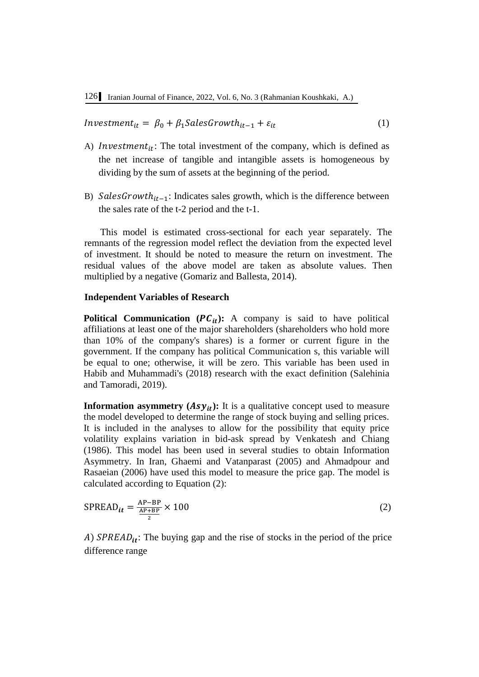*Investment<sub>it</sub>* =  $\beta_0 + \beta_1$ *SalesGrowth<sub>it-1</sub> +*  $\varepsilon_{it}$  *(1)* 

- A) Investment<sub>it</sub>: The total investment of the company, which is defined as the net increase of tangible and intangible assets is homogeneous by dividing by the sum of assets at the beginning of the period.
- B) Sales Growth<sub>it-1</sub>: Indicates sales growth, which is the difference between the sales rate of the t-2 period and the t-1.

This model is estimated cross-sectional for each year separately. The remnants of the regression model reflect the deviation from the expected level of investment. It should be noted to measure the return on investment. The residual values of the above model are taken as absolute values. Then multiplied by a negative (Gomariz and Ballesta, 2014).

#### **Independent Variables of Research**

**Political Communication**  $(PC_{it})$ **: A company is said to have political** affiliations at least one of the major shareholders (shareholders who hold more than 10% of the company's shares) is a former or current figure in the government. If the company has political Communication s, this variable will be equal to one; otherwise, it will be zero. This variable has been used in Habib and Muhammadi's (2018) research with the exact definition (Salehinia and Tamoradi, 2019).

**Information asymmetry**  $(Asy_{it})$ **: It is a qualitative concept used to measure** the model developed to determine the range of stock buying and selling prices. It is included in the analyses to allow for the possibility that equity price volatility explains variation in bid-ask spread by Venkatesh and Chiang (1986). This model has been used in several studies to obtain Information Asymmetry. In Iran, Ghaemi and Vatanparast (2005) and Ahmadpour and Rasaeian (2006) have used this model to measure the price gap. The model is calculated according to Equation (2):

$$
SPREAD_{it} = \frac{AP - BP}{\frac{AP + BP}{2}} \times 100
$$
 (2)

A)  $SPREAD_{it}$ : The buying gap and the rise of stocks in the period of the price difference range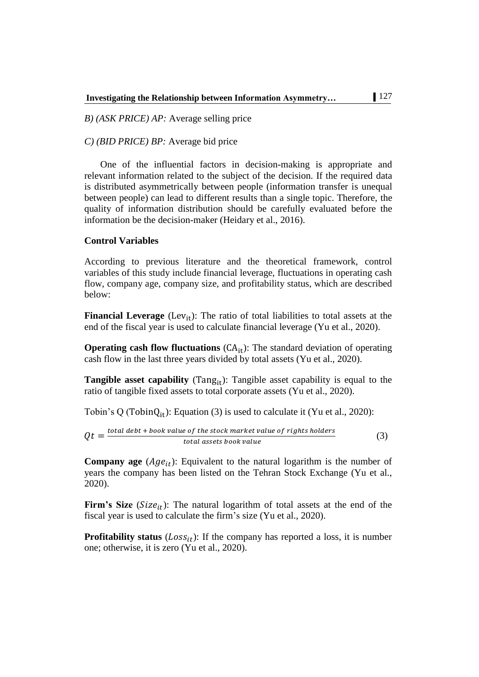*B) (ASK PRICE) AP:* Average selling price

*C) (BID PRICE) BP:* Average bid price

One of the influential factors in decision-making is appropriate and relevant information related to the subject of the decision. If the required data is distributed asymmetrically between people (information transfer is unequal between people) can lead to different results than a single topic. Therefore, the quality of information distribution should be carefully evaluated before the information be the decision-maker (Heidary et al., 2016).

#### **Control Variables**

According to previous literature and the theoretical framework, control variables of this study include financial leverage, fluctuations in operating cash flow, company age, company size, and profitability status, which are described below:

**Financial Leverage** (Lev<sub>it</sub>): The ratio of total liabilities to total assets at the end of the fiscal year is used to calculate financial leverage (Yu et al., 2020).

**Operating cash flow fluctuations**  $(CA_{it})$ : The standard deviation of operating cash flow in the last three years divided by total assets (Yu et al., 2020).

**Tangible asset capability** (Tang<sub>it</sub>): Tangible asset capability is equal to the ratio of tangible fixed assets to total corporate assets (Yu et al., 2020).

Tobin's Q (Tobin $Q_{it}$ ): Equation (3) is used to calculate it (Yu et al., 2020):

$$
Qt = \frac{total\ debt + book\ value\ of\ the\ stock\ market\ value\ of\ rights\ holders}{total\ assets\ book\ value}
$$
\n(3)

**Company age**  $(Age_{it})$ : Equivalent to the natural logarithm is the number of years the company has been listed on the Tehran Stock Exchange (Yu et al., 2020).

**Firm's Size** ( $Size_{it}$ ): The natural logarithm of total assets at the end of the fiscal year is used to calculate the firm's size (Yu et al., 2020).

**Profitability status** ( $Loss_{it}$ ): If the company has reported a loss, it is number one; otherwise, it is zero (Yu et al., 2020).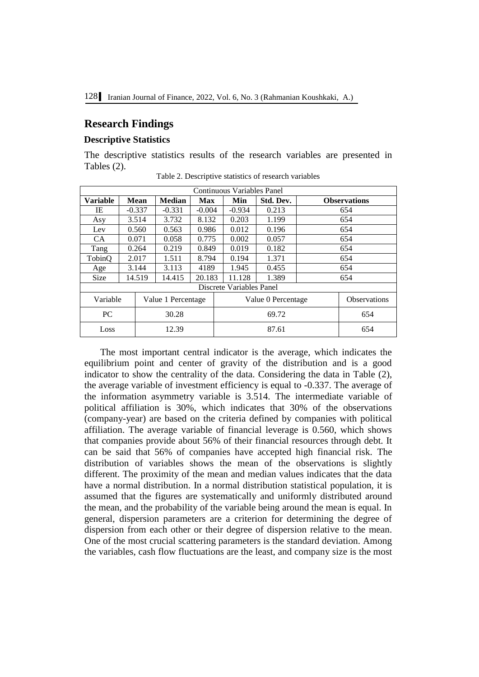# **Research Findings**

#### **Descriptive Statistics**

The descriptive statistics results of the research variables are presented in Tables (2).

| Continuous Variables Panel     |       |             |                    |            |     |                          |           |                     |     |
|--------------------------------|-------|-------------|--------------------|------------|-----|--------------------------|-----------|---------------------|-----|
| <b>Variable</b>                |       | <b>Mean</b> | <b>Median</b>      | <b>Max</b> |     | Min                      | Std. Dev. | <b>Observations</b> |     |
| IE                             |       | $-0.337$    | $-0.331$           | $-0.004$   |     | $-0.934$                 | 0.213     | 654                 |     |
| Asy                            |       | 3.514       | 3.732              | 8.132      |     | 0.203                    | 1.199     |                     | 654 |
| Lev                            |       | 0.560       | 0.563              | 0.986      |     | 0.012                    | 0.196     |                     | 654 |
| CA                             |       | 0.071       | 0.058              | 0.775      |     | 0.002                    | 0.057     | 654                 |     |
| Tang                           |       | 0.264       | 0.219              | 0.849      |     | 0.019                    | 0.182     | 654                 |     |
| TobinQ                         |       | 2.017       | 1.511              | 8.794      |     | 0.194                    | 1.371     | 654                 |     |
| Age                            |       | 3.144       | 3.113              | 4189       |     | 1.945                    | 0.455     | 654                 |     |
| <b>Size</b>                    |       | 14.519      | 14.415             | 20.183     |     | 11.128                   | 1.389     | 654                 |     |
|                                |       |             |                    |            |     | Discrete Variables Panel |           |                     |     |
| Variable<br>Value 1 Percentage |       |             | Value 0 Percentage |            |     | <b>Observations</b>      |           |                     |     |
| <b>PC</b>                      | 30.28 |             |                    | 69.72      |     |                          | 654       |                     |     |
| 12.39<br>Loss                  |       |             | 87.61              |            | 654 |                          |           |                     |     |

Table 2. Descriptive statistics of research variables

The most important central indicator is the average, which indicates the equilibrium point and center of gravity of the distribution and is a good indicator to show the centrality of the data. Considering the data in Table (2), the average variable of investment efficiency is equal to -0.337. The average of the information asymmetry variable is 3.514. The intermediate variable of political affiliation is 30%, which indicates that 30% of the observations (company-year) are based on the criteria defined by companies with political affiliation. The average variable of financial leverage is 0.560, which shows that companies provide about 56% of their financial resources through debt. It can be said that 56% of companies have accepted high financial risk. The distribution of variables shows the mean of the observations is slightly different. The proximity of the mean and median values indicates that the data have a normal distribution. In a normal distribution statistical population, it is assumed that the figures are systematically and uniformly distributed around the mean, and the probability of the variable being around the mean is equal. In general, dispersion parameters are a criterion for determining the degree of dispersion from each other or their degree of dispersion relative to the mean. One of the most crucial scattering parameters is the standard deviation. Among the variables, cash flow fluctuations are the least, and company size is the most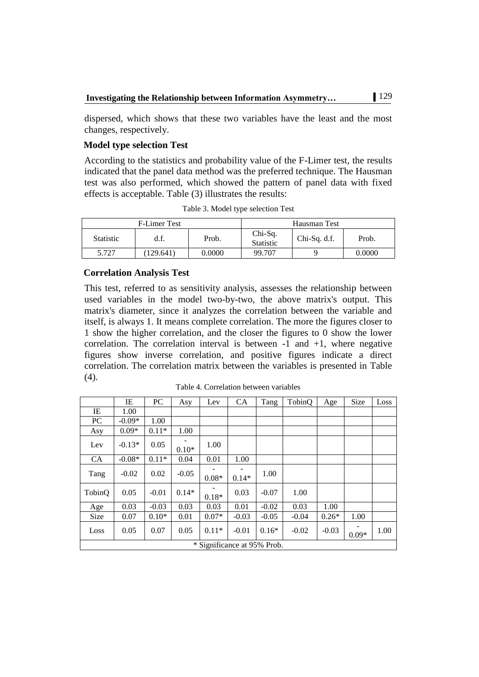dispersed, which shows that these two variables have the least and the most changes, respectively.

# **Model type selection Test**

According to the statistics and probability value of the F-Limer test, the results indicated that the panel data method was the preferred technique. The Hausman test was also performed, which showed the pattern of panel data with fixed effects is acceptable. Table (3) illustrates the results:

|                  | <b>F-Limer Test</b> |        | Hausman Test                  |              |        |  |
|------------------|---------------------|--------|-------------------------------|--------------|--------|--|
| <b>Statistic</b> | d.f.                | Prob.  | $Chi-Sq.$<br><b>Statistic</b> | Chi-Sq. d.f. | Prob.  |  |
| 5.727            | 129.641             | 0.0000 | 99.707                        |              | 0.0000 |  |

Table 3. Model type selection Test

#### **Correlation Analysis Test**

This test, referred to as sensitivity analysis, assesses the relationship between used variables in the model two-by-two, the above matrix's output. This matrix's diameter, since it analyzes the correlation between the variable and itself, is always 1. It means complete correlation. The more the figures closer to 1 show the higher correlation, and the closer the figures to 0 show the lower correlation. The correlation interval is between  $-1$  and  $+1$ , where negative figures show inverse correlation, and positive figures indicate a direct correlation. The correlation matrix between the variables is presented in Table (4).

|           | ΙE                          | PC      | Asy     | Lev     | <b>CA</b> | Tang    | TobinQ  | Age     | Size    | Loss |
|-----------|-----------------------------|---------|---------|---------|-----------|---------|---------|---------|---------|------|
| IE        | 1.00                        |         |         |         |           |         |         |         |         |      |
| PC        | $-0.09*$                    | 1.00    |         |         |           |         |         |         |         |      |
| Asy       | $0.09*$                     | $0.11*$ | 1.00    |         |           |         |         |         |         |      |
| Lev       | $-0.13*$                    | 0.05    | $0.10*$ | 1.00    |           |         |         |         |         |      |
| <b>CA</b> | $-0.08*$                    | $0.11*$ | 0.04    | 0.01    | 1.00      |         |         |         |         |      |
| Tang      | $-0.02$                     | 0.02    | $-0.05$ | $0.08*$ | $0.14*$   | 1.00    |         |         |         |      |
| TobinQ    | 0.05                        | $-0.01$ | $0.14*$ | $0.18*$ | 0.03      | $-0.07$ | 1.00    |         |         |      |
| Age       | 0.03                        | $-0.03$ | 0.03    | 0.03    | 0.01      | $-0.02$ | 0.03    | 1.00    |         |      |
| Size      | 0.07                        | $0.10*$ | 0.01    | $0.07*$ | $-0.03$   | $-0.05$ | $-0.04$ | $0.26*$ | 1.00    |      |
| Loss      | 0.05                        | 0.07    | 0.05    | $0.11*$ | $-0.01$   | $0.16*$ | $-0.02$ | $-0.03$ | $0.09*$ | 1.00 |
|           | * Significance at 95% Prob. |         |         |         |           |         |         |         |         |      |

Table 4. Correlation between variables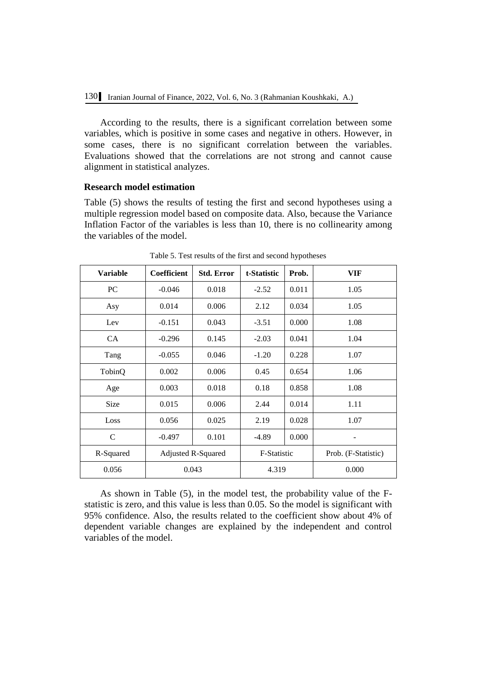According to the results, there is a significant correlation between some variables, which is positive in some cases and negative in others. However, in some cases, there is no significant correlation between the variables. Evaluations showed that the correlations are not strong and cannot cause alignment in statistical analyzes.

### **Research model estimation**

Table (5) shows the results of testing the first and second hypotheses using a multiple regression model based on composite data. Also, because the Variance Inflation Factor of the variables is less than 10, there is no collinearity among the variables of the model.

| <b>Variable</b> | Coefficient               | <b>Std. Error</b> | t-Statistic | Prob. | VIF                 |
|-----------------|---------------------------|-------------------|-------------|-------|---------------------|
| PC.             | $-0.046$                  | 0.018             | $-2.52$     | 0.011 | 1.05                |
| Asy             | 0.014                     | 0.006             | 2.12        | 0.034 | 1.05                |
| Lev             | $-0.151$                  | 0.043             | $-3.51$     | 0.000 | 1.08                |
| <b>CA</b>       | $-0.296$                  | 0.145             | $-2.03$     | 0.041 | 1.04                |
| Tang            | $-0.055$                  | 0.046             | $-1.20$     | 0.228 | 1.07                |
| TobinQ          | 0.002                     | 0.006             | 0.45        | 0.654 | 1.06                |
| Age             | 0.003                     | 0.018             | 0.18        | 0.858 | 1.08                |
| <b>Size</b>     | 0.015                     | 0.006             | 2.44        | 0.014 | 1.11                |
| Loss            | 0.056                     | 0.025             | 2.19        | 0.028 | 1.07                |
| $\mathbf C$     | $-0.497$                  | 0.101             | $-4.89$     | 0.000 |                     |
| R-Squared       | <b>Adjusted R-Squared</b> |                   | F-Statistic |       | Prob. (F-Statistic) |
| 0.056           | 0.043                     |                   | 4.319       |       | 0.000               |

Table 5. Test results of the first and second hypotheses

As shown in Table (5), in the model test, the probability value of the Fstatistic is zero, and this value is less than 0.05. So the model is significant with 95% confidence. Also, the results related to the coefficient show about 4% of dependent variable changes are explained by the independent and control variables of the model.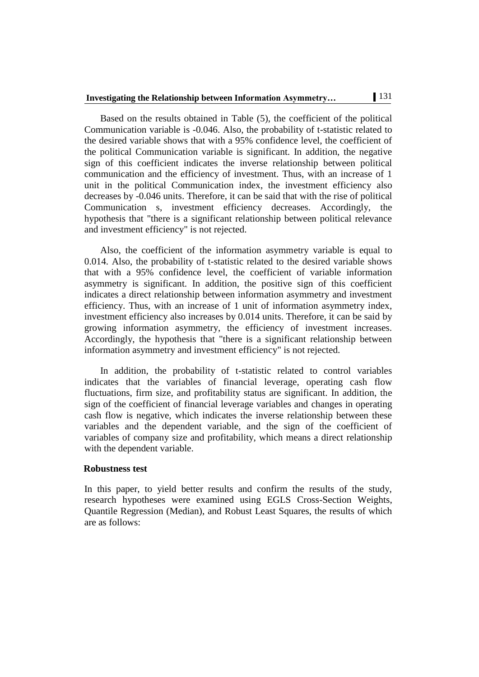# **Investigating the Relationship between Information Asymmetry…** 131

Based on the results obtained in Table (5), the coefficient of the political Communication variable is -0.046. Also, the probability of t-statistic related to the desired variable shows that with a 95% confidence level, the coefficient of the political Communication variable is significant. In addition, the negative sign of this coefficient indicates the inverse relationship between political communication and the efficiency of investment. Thus, with an increase of 1 unit in the political Communication index, the investment efficiency also decreases by -0.046 units. Therefore, it can be said that with the rise of political Communication s, investment efficiency decreases. Accordingly, the hypothesis that "there is a significant relationship between political relevance and investment efficiency" is not rejected.

Also, the coefficient of the information asymmetry variable is equal to 0.014. Also, the probability of t-statistic related to the desired variable shows that with a 95% confidence level, the coefficient of variable information asymmetry is significant. In addition, the positive sign of this coefficient indicates a direct relationship between information asymmetry and investment efficiency. Thus, with an increase of 1 unit of information asymmetry index, investment efficiency also increases by 0.014 units. Therefore, it can be said by growing information asymmetry, the efficiency of investment increases. Accordingly, the hypothesis that "there is a significant relationship between information asymmetry and investment efficiency" is not rejected.

In addition, the probability of t-statistic related to control variables indicates that the variables of financial leverage, operating cash flow fluctuations, firm size, and profitability status are significant. In addition, the sign of the coefficient of financial leverage variables and changes in operating cash flow is negative, which indicates the inverse relationship between these variables and the dependent variable, and the sign of the coefficient of variables of company size and profitability, which means a direct relationship with the dependent variable.

#### **Robustness test**

In this paper, to yield better results and confirm the results of the study, research hypotheses were examined using EGLS Cross-Section Weights, Quantile Regression (Median), and Robust Least Squares, the results of which are as follows: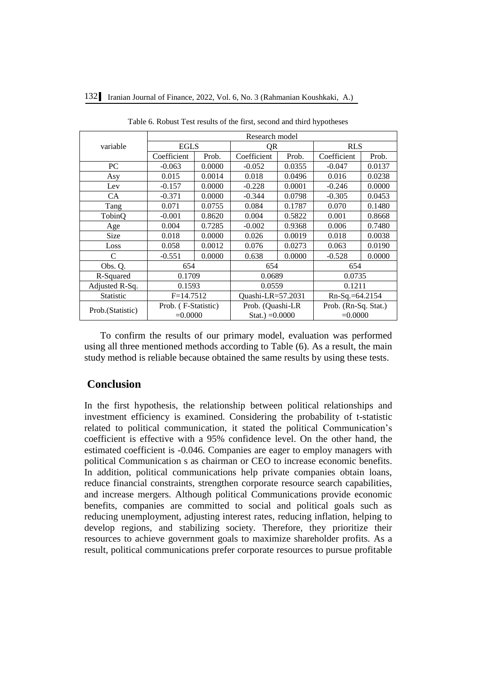|  |  |  |  | 132 Iranian Journal of Finance, 2022, Vol. 6, No. 3 (Rahmanian Koushkaki, A.) |
|--|--|--|--|-------------------------------------------------------------------------------|
|--|--|--|--|-------------------------------------------------------------------------------|

|                  | Research model      |        |                   |        |                      |        |  |  |
|------------------|---------------------|--------|-------------------|--------|----------------------|--------|--|--|
| variable         | <b>EGLS</b>         |        | QR                |        | <b>RLS</b>           |        |  |  |
|                  | Coefficient         | Prob.  | Coefficient       | Prob.  | Coefficient          | Prob.  |  |  |
| PC.              | $-0.063$            | 0.0000 | $-0.052$          | 0.0355 | $-0.047$             | 0.0137 |  |  |
| Asy              | 0.015               | 0.0014 | 0.018             | 0.0496 | 0.016                | 0.0238 |  |  |
| Lev              | $-0.157$            | 0.0000 | $-0.228$          | 0.0001 | $-0.246$             | 0.0000 |  |  |
| <b>CA</b>        | $-0.371$            | 0.0000 | $-0.344$          | 0.0798 | $-0.305$             | 0.0453 |  |  |
| Tang             | 0.0755<br>0.071     |        | 0.084             | 0.1787 | 0.070                | 0.1480 |  |  |
| TobinO           | $-0.001$            | 0.8620 | 0.004             | 0.5822 | 0.001                | 0.8668 |  |  |
| Age              | 0.004               | 0.7285 | $-0.002$          | 0.9368 | 0.006                | 0.7480 |  |  |
| <b>Size</b>      | 0.018               | 0.0000 | 0.026             | 0.0019 | 0.018                | 0.0038 |  |  |
| Loss             | 0.058               | 0.0012 | 0.076             | 0.0273 | 0.063                | 0.0190 |  |  |
| C                | $-0.551$            | 0.0000 | 0.638             | 0.0000 | $-0.528$             | 0.0000 |  |  |
| Obs. Q.          | 654                 |        | 654               |        | 654                  |        |  |  |
| R-Squared        | 0.1709              |        | 0.0689            |        | 0.0735               |        |  |  |
| Adjusted R-Sq.   | 0.1593              |        | 0.0559            |        | 0.1211               |        |  |  |
| <b>Statistic</b> | $F = 14.7512$       |        | Quashi-LR=57.2031 |        | $Rn-Sq = 64.2154$    |        |  |  |
| Prob.(Statistic) | Prob. (F-Statistic) |        | Prob. (Quashi-LR  |        | Prob. (Rn-Sq. Stat.) |        |  |  |
|                  | $=0.0000$           |        | Stat.) $=0.0000$  |        | $=0.0000$            |        |  |  |

Table 6. Robust Test results of the first, second and third hypotheses

To confirm the results of our primary model, evaluation was performed using all three mentioned methods according to Table (6). As a result, the main study method is reliable because obtained the same results by using these tests.

# **Conclusion**

In the first hypothesis, the relationship between political relationships and investment efficiency is examined. Considering the probability of t-statistic related to political communication, it stated the political Communication's coefficient is effective with a 95% confidence level. On the other hand, the estimated coefficient is -0.046. Companies are eager to employ managers with political Communication s as chairman or CEO to increase economic benefits. In addition, political communications help private companies obtain loans, reduce financial constraints, strengthen corporate resource search capabilities, and increase mergers. Although political Communications provide economic benefits, companies are committed to social and political goals such as reducing unemployment, adjusting interest rates, reducing inflation, helping to develop regions, and stabilizing society. Therefore, they prioritize their resources to achieve government goals to maximize shareholder profits. As a result, political communications prefer corporate resources to pursue profitable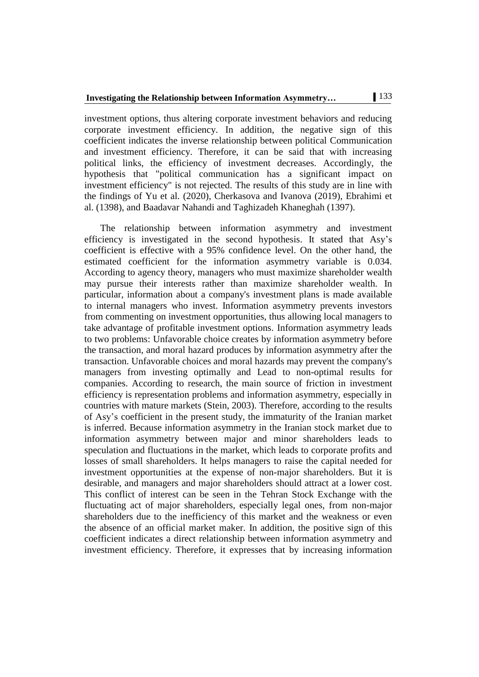investment options, thus altering corporate investment behaviors and reducing corporate investment efficiency. In addition, the negative sign of this coefficient indicates the inverse relationship between political Communication and investment efficiency. Therefore, it can be said that with increasing political links, the efficiency of investment decreases. Accordingly, the hypothesis that "political communication has a significant impact on investment efficiency" is not rejected. The results of this study are in line with the findings of Yu et al. (2020), Cherkasova and Ivanova (2019), Ebrahimi et al. (1398), and Baadavar Nahandi and Taghizadeh Khaneghah (1397).

The relationship between information asymmetry and investment efficiency is investigated in the second hypothesis. It stated that Asy's coefficient is effective with a 95% confidence level. On the other hand, the estimated coefficient for the information asymmetry variable is 0.034. According to agency theory, managers who must maximize shareholder wealth may pursue their interests rather than maximize shareholder wealth. In particular, information about a company's investment plans is made available to internal managers who invest. Information asymmetry prevents investors from commenting on investment opportunities, thus allowing local managers to take advantage of profitable investment options. Information asymmetry leads to two problems: Unfavorable choice creates by information asymmetry before the transaction, and moral hazard produces by information asymmetry after the transaction. Unfavorable choices and moral hazards may prevent the company's managers from investing optimally and Lead to non-optimal results for companies. According to research, the main source of friction in investment efficiency is representation problems and information asymmetry, especially in countries with mature markets (Stein, 2003). Therefore, according to the results of Asy's coefficient in the present study, the immaturity of the Iranian market is inferred. Because information asymmetry in the Iranian stock market due to information asymmetry between major and minor shareholders leads to speculation and fluctuations in the market, which leads to corporate profits and losses of small shareholders. It helps managers to raise the capital needed for investment opportunities at the expense of non-major shareholders. But it is desirable, and managers and major shareholders should attract at a lower cost. This conflict of interest can be seen in the Tehran Stock Exchange with the fluctuating act of major shareholders, especially legal ones, from non-major shareholders due to the inefficiency of this market and the weakness or even the absence of an official market maker. In addition, the positive sign of this coefficient indicates a direct relationship between information asymmetry and investment efficiency. Therefore, it expresses that by increasing information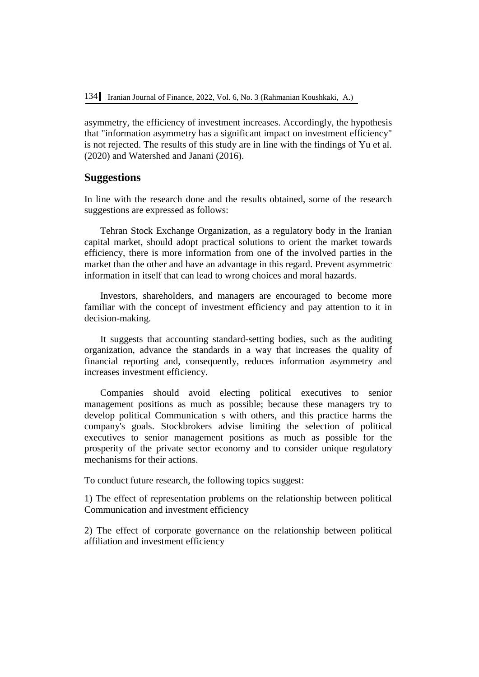asymmetry, the efficiency of investment increases. Accordingly, the hypothesis that "information asymmetry has a significant impact on investment efficiency" is not rejected. The results of this study are in line with the findings of Yu et al. (2020) and Watershed and Janani (2016).

#### **Suggestions**

In line with the research done and the results obtained, some of the research suggestions are expressed as follows:

Tehran Stock Exchange Organization, as a regulatory body in the Iranian capital market, should adopt practical solutions to orient the market towards efficiency, there is more information from one of the involved parties in the market than the other and have an advantage in this regard. Prevent asymmetric information in itself that can lead to wrong choices and moral hazards.

Investors, shareholders, and managers are encouraged to become more familiar with the concept of investment efficiency and pay attention to it in decision-making.

It suggests that accounting standard-setting bodies, such as the auditing organization, advance the standards in a way that increases the quality of financial reporting and, consequently, reduces information asymmetry and increases investment efficiency.

Companies should avoid electing political executives to senior management positions as much as possible; because these managers try to develop political Communication s with others, and this practice harms the company's goals. Stockbrokers advise limiting the selection of political executives to senior management positions as much as possible for the prosperity of the private sector economy and to consider unique regulatory mechanisms for their actions.

To conduct future research, the following topics suggest:

1) The effect of representation problems on the relationship between political Communication and investment efficiency

2) The effect of corporate governance on the relationship between political affiliation and investment efficiency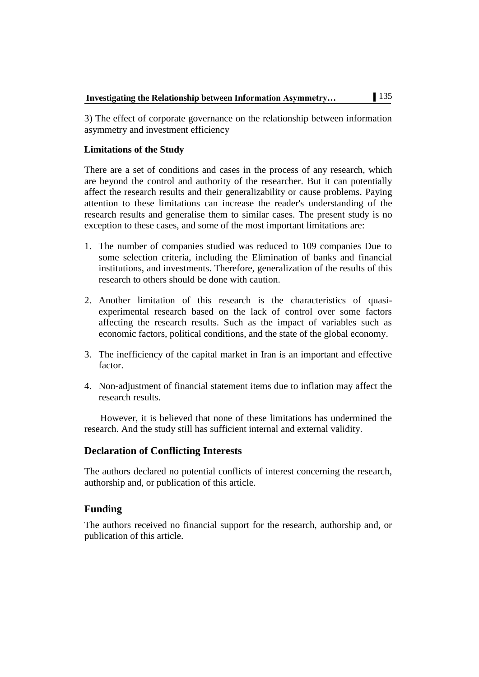3) The effect of corporate governance on the relationship between information asymmetry and investment efficiency

# **Limitations of the Study**

There are a set of conditions and cases in the process of any research, which are beyond the control and authority of the researcher. But it can potentially affect the research results and their generalizability or cause problems. Paying attention to these limitations can increase the reader's understanding of the research results and generalise them to similar cases. The present study is no exception to these cases, and some of the most important limitations are:

- 1. The number of companies studied was reduced to 109 companies Due to some selection criteria, including the Elimination of banks and financial institutions, and investments. Therefore, generalization of the results of this research to others should be done with caution.
- 2. Another limitation of this research is the characteristics of quasiexperimental research based on the lack of control over some factors affecting the research results. Such as the impact of variables such as economic factors, political conditions, and the state of the global economy.
- 3. The inefficiency of the capital market in Iran is an important and effective factor.
- 4. Non-adjustment of financial statement items due to inflation may affect the research results.

However, it is believed that none of these limitations has undermined the research. And the study still has sufficient internal and external validity.

# **Declaration of Conflicting Interests**

The authors declared no potential conflicts of interest concerning the research, authorship and, or publication of this article.

# **Funding**

The authors received no financial support for the research, authorship and, or publication of this article.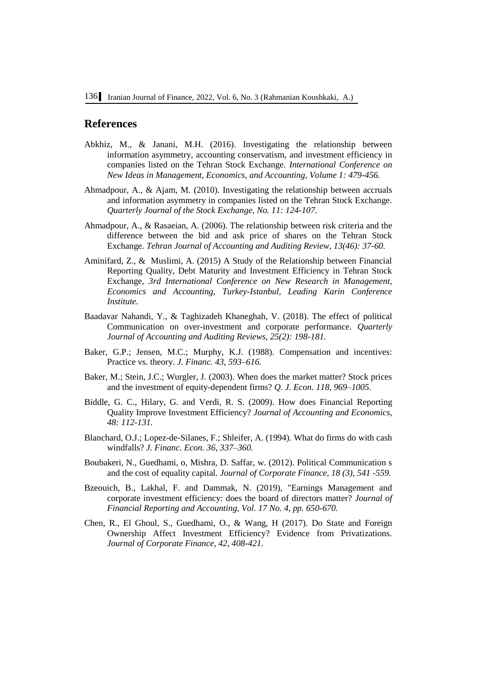# **References**

- Abkhiz, M., & Janani, M.H. (2016). Investigating the relationship between information asymmetry, accounting conservatism, and investment efficiency in companies listed on the Tehran Stock Exchange. *International Conference on New Ideas in Management, Economics, and Accounting, Volume 1: 479-456.*
- Ahmadpour, A., & Ajam, M. (2010). Investigating the relationship between accruals and information asymmetry in companies listed on the Tehran Stock Exchange. *Quarterly Journal of the Stock Exchange, No. 11: 124-107.*
- Ahmadpour, A., & Rasaeian, A. (2006). The relationship between risk criteria and the difference between the bid and ask price of shares on the Tehran Stock Exchange. *Tehran Journal of Accounting and Auditing Review, 13(46): 37-60.*
- Aminifard, Z., & Muslimi, A. (2015) A Study of the Relationship between Financial Reporting Quality, Debt Maturity and Investment Efficiency in Tehran Stock Exchange, *3rd International Conference on New Research in Management, Economics and Accounting, Turkey-Istanbul, Leading Karin Conference Institute.*
- Baadavar Nahandi, Y., & Taghizadeh Khaneghah, V. (2018). The effect of political Communication on over-investment and corporate performance. *Quarterly Journal of Accounting and Auditing Reviews, 25(2): 198-181.*
- Baker, G.P.; Jensen, M.C.; Murphy, K.J. (1988). Compensation and incentives: Practice vs. theory. *J. Financ. 43, 593–616.*
- Baker, M.; Stein, J.C.; Wurgler, J. (2003). When does the market matter? Stock prices and the investment of equity-dependent firms? *Q. J. Econ. 118, 969–1005.*
- Biddle, G. C., Hilary, G. and Verdi, R. S. (2009). How does Financial Reporting Quality Improve Investment Efficiency? *Journal of Accounting and Economics, 48: 112-131.*
- Blanchard, O.J.; Lopez-de-Silanes, F.; Shleifer, A. (1994). What do firms do with cash windfalls? *J. Financ. Econ. 36, 337–360.*
- Boubakeri, N., Guedhami, o, Mishra, D. Saffar, w. (2012). Political Communication s and the cost of equality capital. *Journal of Corporate Finance, 18 (3), 541 -559.*
- [Bzeouich, B.,](https://www.emerald.com/insight/search?q=Bilel%20Bzeouich) [Lakhal, F.](https://www.emerald.com/insight/search?q=Faten%20Lakhal) and [Dammak, N.](https://www.emerald.com/insight/search?q=Neila%20Dammak) (2019), "Earnings Management and corporate investment efficiency: does the board of directors matter? *[Journal of](https://www.emerald.com/insight/publication/issn/1985-2517)  [Financial Reporting and Accounting,](https://www.emerald.com/insight/publication/issn/1985-2517) Vol. 17 No. 4, pp. 650-670.*
- Chen, R., El Ghoul, S., Guedhami, O., & Wang, H (2017). Do State and Foreign Ownership Affect Investment Efficiency? Evidence from Privatizations. *Journal of Corporate Finance, 42, 408-421.*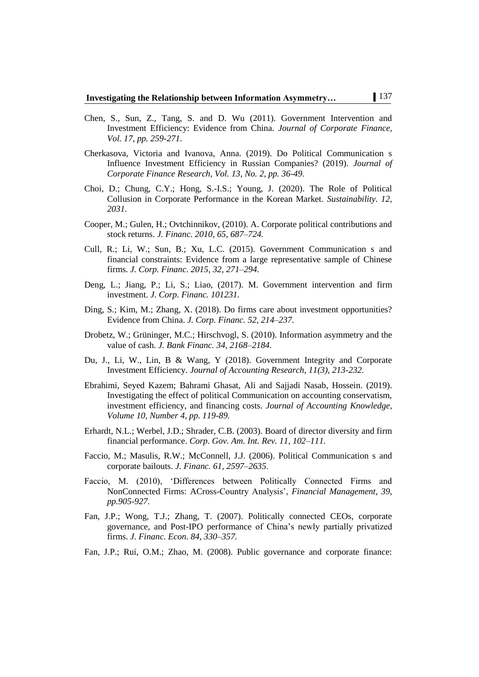- Chen, S., Sun, Z., Tang, S. and D. Wu (2011). Government Intervention and Investment Efficiency: Evidence from China. *Journal of Corporate Finance, Vol. 17, pp. 259-271.*
- Cherkasova, Victoria and Ivanova, Anna. (2019). Do Political Communication s Influence Investment Efficiency in Russian Companies? (2019). *Journal of Corporate Finance Research, Vol. 13, No. 2, pp. 36-49*.
- Choi, D.; Chung, C.Y.; Hong, S.-I.S.; Young, J. (2020). The Role of Political Collusion in Corporate Performance in the Korean Market. *Sustainability. 12, 2031.*
- Cooper, M.; Gulen, H.; Ovtchinnikov, (2010). A. Corporate political contributions and stock returns. *J. Financ. 2010, 65, 687–724.*
- Cull, R.; Li, W.; Sun, B.; Xu, L.C. (2015). Government Communication s and financial constraints: Evidence from a large representative sample of Chinese firms. *J. Corp. Financ. 2015, 32, 271–294.*
- Deng, L.; Jiang, P.; Li, S.; Liao, (2017). M. Government intervention and firm investment. *J. Corp. Financ. 101231.*
- Ding, S.; Kim, M.; Zhang, X. (2018). Do firms care about investment opportunities? Evidence from China. *J. Corp. Financ. 52, 214–237.*
- Drobetz, W.; Grüninger, M.C.; Hirschvogl, S. (2010). Information asymmetry and the value of cash. *J. Bank Financ. 34, 2168–2184.*
- Du, J., Li, W., Lin, B & Wang, Y (2018). Government Integrity and Corporate Investment Efficiency. *Journal of Accounting Research, 11(3), 213-232.*
- Ebrahimi, Seyed Kazem; Bahrami Ghasat, Ali and Sajjadi Nasab, Hossein. (2019). Investigating the effect of political Communication on accounting conservatism, investment efficiency, and financing costs. *Journal of Accounting Knowledge, Volume 10, Number 4, pp. 119-89.*
- Erhardt, N.L.; Werbel, J.D.; Shrader, C.B. (2003). Board of director diversity and firm financial performance. *Corp. Gov. Am. Int. Rev. 11, 102–111.*
- Faccio, M.; Masulis, R.W.; McConnell, J.J. (2006). Political Communication s and corporate bailouts. *J. Financ. 61, 2597–2635*.
- Faccio, M. (2010), 'Differences between Politically Connected Firms and NonConnected Firms: ACross-Country Analysis', *Financial Management, 39, pp.905-927.*
- Fan, J.P.; Wong, T.J.; Zhang, T. (2007). Politically connected CEOs, corporate governance, and Post-IPO performance of China's newly partially privatized firms. *J. Financ. Econ. 84, 330–357.*
- Fan, J.P.; Rui, O.M.; Zhao, M. (2008). Public governance and corporate finance: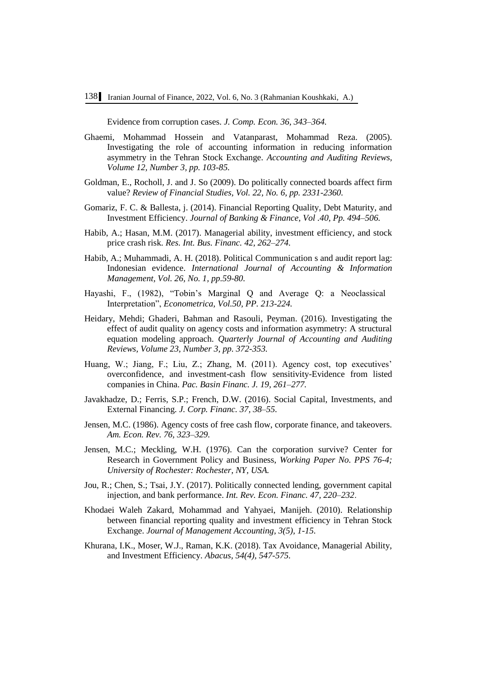Evidence from corruption cases. *J. Comp. Econ. 36, 343–364.*

- Ghaemi, Mohammad Hossein and Vatanparast, Mohammad Reza. (2005). Investigating the role of accounting information in reducing information asymmetry in the Tehran Stock Exchange. *Accounting and Auditing Reviews, Volume 12, Number 3, pp. 103-85.*
- Goldman, E., Rocholl, J. and J. So (2009). Do politically connected boards affect firm value? *Review of Financial Studies, Vol. 22, No. 6, pp. 2331-2360.*
- Gomariz, F. C. & Ballesta, j. (2014). Financial Reporting Quality, Debt Maturity, and Investment Efficiency. *Journal of Banking & Finance, Vol .40, Pp. 494–506.*
- Habib, A.; Hasan, M.M. (2017). Managerial ability, investment efficiency, and stock price crash risk. *Res. Int. Bus. Financ. 42, 262–274.*
- Habib, A.; Muhammadi, A. H. (2018). Political Communication s and audit report lag: Indonesian evidence. *International Journal of Accounting & Information Management, Vol. 26, No. 1, pp.59-80.*
- Hayashi, F., (1982), "Tobin's Marginal Q and Average Q: a Neoclassical Interpretation", *Econometrica, Vol.50, PP. 213-224.*
- Heidary, Mehdi; Ghaderi, Bahman and Rasouli, Peyman. (2016). Investigating the effect of audit quality on agency costs and information asymmetry: A structural equation modeling approach. *Quarterly Journal of Accounting and Auditing Reviews, Volume 23, Number 3, pp. 372-353.*
- Huang, W.; Jiang, F.; Liu, Z.; Zhang, M. (2011). Agency cost, top executives' overconfidence, and investment-cash flow sensitivity-Evidence from listed companies in China. *Pac. Basin Financ. J. 19, 261–277.*
- Javakhadze, D.; Ferris, S.P.; French, D.W. (2016). Social Capital, Investments, and External Financing. *J. Corp. Financ. 37, 38–55.*
- Jensen, M.C. (1986). Agency costs of free cash flow, corporate finance, and takeovers. *Am. Econ. Rev. 76, 323–329.*
- Jensen, M.C.; Meckling, W.H. (1976). Can the corporation survive? Center for Research in Government Policy and Business, *Working Paper No. PPS 76-4; University of Rochester: Rochester, NY, USA.*
- Jou, R.; Chen, S.; Tsai, J.Y. (2017). Politically connected lending, government capital injection, and bank performance. *Int. Rev. Econ. Financ. 47, 220–232*.
- Khodaei Waleh Zakard, Mohammad and Yahyaei, Manijeh. (2010). Relationship between financial reporting quality and investment efficiency in Tehran Stock Exchange. *Journal of Management Accounting, 3(5), 1-15.*
- Khurana, I.K., Moser, W.J., Raman, K.K. (2018). Tax Avoidance, Managerial Ability, and Investment Efficiency. *Abacus, 54(4), 547-575.*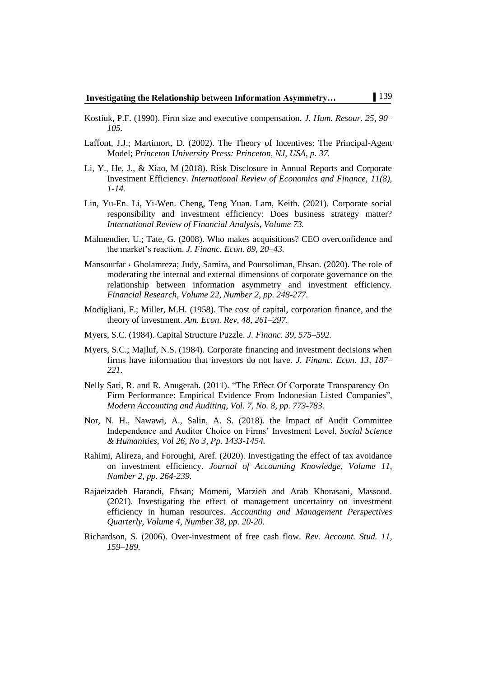- Kostiuk, P.F. (1990). Firm size and executive compensation. *J. Hum. Resour. 25, 90– 105.*
- Laffont, J.J.; Martimort, D. (2002). The Theory of Incentives: The Principal-Agent Model; *Princeton University Press: Princeton, NJ, USA, p. 37.*
- Li, Y., He, J., & Xiao, M (2018). Risk Disclosure in Annual Reports and Corporate Investment Efficiency. *International Review of Economics and Finance, 11(8), 1-14.*
- Lin, Yu-En. Li, Yi-Wen. Cheng, Teng Yuan. Lam, Keith. (2021). Corporate social responsibility and investment efficiency: Does business strategy matter? *International Review of Financial Analysis, Volume 73.*
- Malmendier, U.; Tate, G. (2008). Who makes acquisitions? CEO overconfidence and the market's reaction. *J. Financ. Econ. 89, 20–43.*
- Mansourfar ، Gholamreza; Judy, Samira, and Poursoliman, Ehsan. (2020). The role of moderating the internal and external dimensions of corporate governance on the relationship between information asymmetry and investment efficiency. *Financial Research, Volume 22, Number 2, pp. 248-277.*
- Modigliani, F.; Miller, M.H. (1958). The cost of capital, corporation finance, and the theory of investment. *Am. Econ. Rev, 48, 261–297*.
- Myers, S.C. (1984). Capital Structure Puzzle. *J. Financ. 39, 575–592.*
- Myers, S.C.; Majluf, N.S. (1984). Corporate financing and investment decisions when firms have information that investors do not have. *J. Financ. Econ. 13, 187– 221.*
- Nelly Sari, R. and R. Anugerah. (2011). "The Effect Of Corporate Transparency On Firm Performance: Empirical Evidence From Indonesian Listed Companies", *Modern Accounting and Auditing, Vol. 7, No. 8, pp. 773-783.*
- Nor, N. H., Nawawi, A., Salin, A. S. (2018). the Impact of Audit Committee Independence and Auditor Choice on Firms' Investment Level, *Social Science & Humanities, Vol 26, No 3, Pp. 1433-1454.*
- Rahimi, Alireza, and Foroughi, Aref. (2020). Investigating the effect of tax avoidance on investment efficiency. *Journal of Accounting Knowledge, Volume 11, Number 2, pp. 264-239.*
- Rajaeizadeh Harandi, Ehsan; Momeni, Marzieh and Arab Khorasani, Massoud. (2021). Investigating the effect of management uncertainty on investment efficiency in human resources. *Accounting and Management Perspectives Quarterly, Volume 4, Number 38, pp. 20-20.*
- Richardson, S. (2006). Over-investment of free cash flow. *Rev. Account. Stud. 11, 159–189.*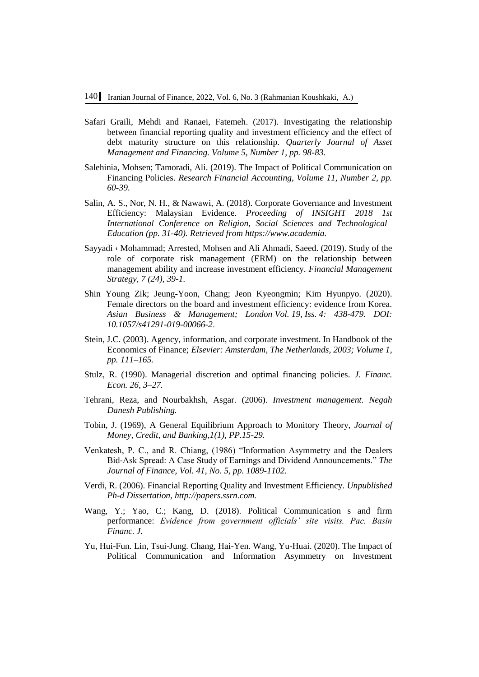- Safari Graili, Mehdi and Ranaei, Fatemeh. (2017). Investigating the relationship between financial reporting quality and investment efficiency and the effect of debt maturity structure on this relationship. *Quarterly Journal of Asset Management and Financing. Volume 5, Number 1, pp. 98-83.*
- Salehinia, Mohsen; Tamoradi, Ali. (2019). The Impact of Political Communication on Financing Policies. *Research Financial Accounting, Volume 11, Number 2, pp. 60-39.*
- Salin, A. S., Nor, N. H., & Nawawi, A. (2018). Corporate Governance and Investment Efficiency: Malaysian Evidence. *Proceeding of INSIGHT 2018 1st International Conference on Religion, Social Sciences and Technological Education (pp. 31-40). Retrieved from [https://www.academia.](https://www.academia/)*
- Sayyadi ، Mohammad; Arrested, Mohsen and Ali Ahmadi, Saeed. (2019). Study of the role of corporate risk management (ERM) on the relationship between management ability and increase investment efficiency. *Financial Management Strategy, 7 (24), 39-1.*
- Shin Young Zik; Jeung-Yoon, Chang; Jeon Kyeongmin; Kim Hyunpyo. (2020). Female directors on the board and investment efficiency: evidence from Korea. *Asian Business & Management; London Vol. 19, Iss. 4: 438-479. DOI: 10.1057/s41291-019-00066-2*.
- Stein, J.C. (2003). Agency, information, and corporate investment. In Handbook of the Economics of Finance; *Elsevier: Amsterdam, The Netherlands, 2003; Volume 1, pp. 111–165.*
- Stulz, R. (1990). Managerial discretion and optimal financing policies. *J. Financ. Econ. 26, 3–27.*
- Tehrani, Reza, and Nourbakhsh, Asgar. (2006). *Investment management. Negah Danesh Publishing.*
- Tobin, J. (1969), A General Equilibrium Approach to Monitory Theory, *Journal of Money, Credit, and Banking,1(1), PP.15-29.*
- Venkatesh, P. C., and R. Chiang, (1986) "Information Asymmetry and the Dealers Bid-Ask Spread: A Case Study of Earnings and Dividend Announcements." *The Journal of Finance, Vol. 41, No. 5, pp. 1089-1102.*
- Verdi, R. (2006). Financial Reporting Quality and Investment Efficiency. *Unpublished Ph-d Dissertation[,](http://papers.ssrn.com/) [http://papers.ssrn.com.](http://papers.ssrn.com/)*
- Wang, Y.; Yao, C.; Kang, D. (2018). Political Communication s and firm performance: *Evidence from government officials' site visits. Pac. Basin Financ. J.*
- Yu, Hui-Fun. Lin, Tsui-Jung. Chang, Hai-Yen. Wang, Yu-Huai. (2020). The Impact of Political Communication and Information Asymmetry on Investment